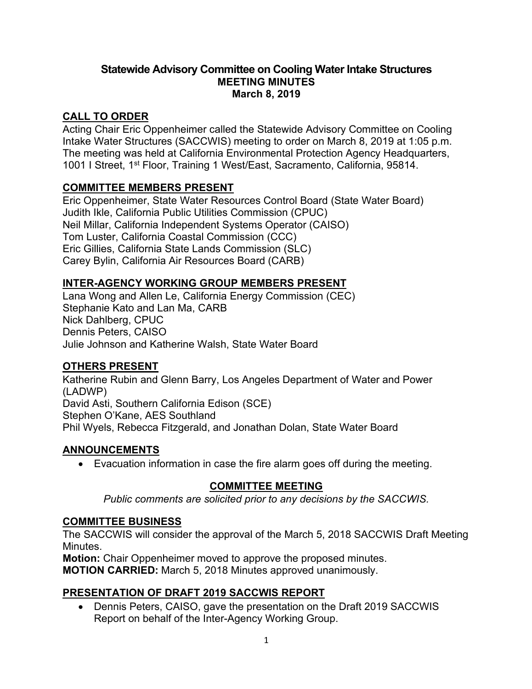#### **Statewide Advisory Committee on Cooling Water Intake Structures MEETING MINUTES March 8, 2019**

# **CALL TO ORDER**

Acting Chair Eric Oppenheimer called the Statewide Advisory Committee on Cooling Intake Water Structures (SACCWIS) meeting to order on March 8, 2019 at 1:05 p.m. The meeting was held at California Environmental Protection Agency Headquarters, 1001 I Street, 1<sup>st</sup> Floor, Training 1 West/East, Sacramento, California, 95814.

### **COMMITTEE MEMBERS PRESENT**

Eric Oppenheimer, State Water Resources Control Board (State Water Board) Judith Ikle, California Public Utilities Commission (CPUC) Neil Millar, California Independent Systems Operator (CAISO) Tom Luster, California Coastal Commission (CCC) Eric Gillies, California State Lands Commission (SLC) Carey Bylin, California Air Resources Board (CARB)

# **INTER-AGENCY WORKING GROUP MEMBERS PRESENT**

Lana Wong and Allen Le, California Energy Commission (CEC) Stephanie Kato and Lan Ma, CARB Nick Dahlberg, CPUC Dennis Peters, CAISO Julie Johnson and Katherine Walsh, State Water Board

# **OTHERS PRESENT**

Katherine Rubin and Glenn Barry, Los Angeles Department of Water and Power (LADWP) David Asti, Southern California Edison (SCE) Stephen O'Kane, AES Southland Phil Wyels, Rebecca Fitzgerald, and Jonathan Dolan, State Water Board

#### **ANNOUNCEMENTS**

· Evacuation information in case the fire alarm goes off during the meeting.

#### **COMMITTEE MEETING**

*Public comments are solicited prior to any decisions by the SACCWIS.*

# **COMMITTEE BUSINESS**

The SACCWIS will consider the approval of the March 5, 2018 SACCWIS Draft Meeting Minutes.

**Motion:** Chair Oppenheimer moved to approve the proposed minutes.

**MOTION CARRIED:** March 5, 2018 Minutes approved unanimously.

# **PRESENTATION OF DRAFT 2019 SACCWIS REPORT**

· Dennis Peters, CAISO, gave the presentation on the Draft 2019 SACCWIS Report on behalf of the Inter-Agency Working Group.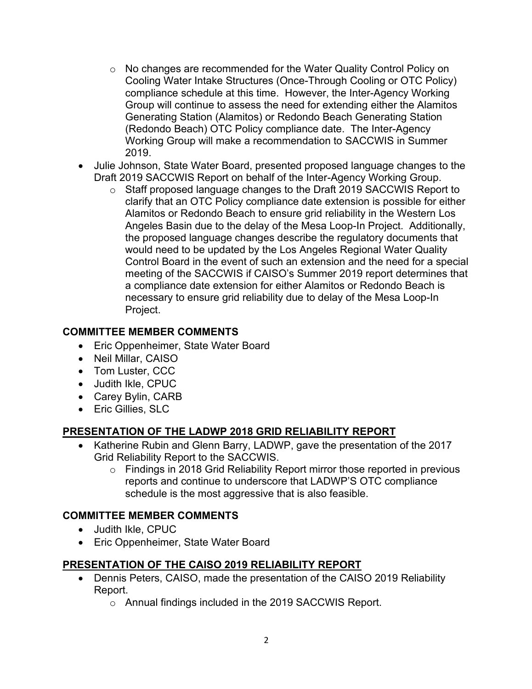- o No changes are recommended for the Water Quality Control Policy on Cooling Water Intake Structures (Once-Through Cooling or OTC Policy) compliance schedule at this time. However, the Inter-Agency Working Group will continue to assess the need for extending either the Alamitos Generating Station (Alamitos) or Redondo Beach Generating Station (Redondo Beach) OTC Policy compliance date. The Inter-Agency Working Group will make a recommendation to SACCWIS in Summer 2019.
- · Julie Johnson, State Water Board, presented proposed language changes to the Draft 2019 SACCWIS Report on behalf of the Inter-Agency Working Group.
	- o Staff proposed language changes to the Draft 2019 SACCWIS Report to clarify that an OTC Policy compliance date extension is possible for either Alamitos or Redondo Beach to ensure grid reliability in the Western Los Angeles Basin due to the delay of the Mesa Loop-In Project. Additionally, the proposed language changes describe the regulatory documents that would need to be updated by the Los Angeles Regional Water Quality Control Board in the event of such an extension and the need for a special meeting of the SACCWIS if CAISO's Summer 2019 report determines that a compliance date extension for either Alamitos or Redondo Beach is necessary to ensure grid reliability due to delay of the Mesa Loop-In Project.

#### **COMMITTEE MEMBER COMMENTS**

- Eric Oppenheimer, State Water Board
- · Neil Millar, CAISO
- · Tom Luster, CCC
- · Judith Ikle, CPUC
- Carey Bylin, CARB
- · Eric Gillies, SLC

#### **PRESENTATION OF THE LADWP 2018 GRID RELIABILITY REPORT**

- · Katherine Rubin and Glenn Barry, LADWP, gave the presentation of the 2017 Grid Reliability Report to the SACCWIS.
	- o Findings in 2018 Grid Reliability Report mirror those reported in previous reports and continue to underscore that LADWP'S OTC compliance schedule is the most aggressive that is also feasible.

#### **COMMITTEE MEMBER COMMENTS**

- · Judith Ikle, CPUC
- · Eric Oppenheimer, State Water Board

#### **PRESENTATION OF THE CAISO 2019 RELIABILITY REPORT**

- · Dennis Peters, CAISO, made the presentation of the CAISO 2019 Reliability Report.
	- o Annual findings included in the 2019 SACCWIS Report.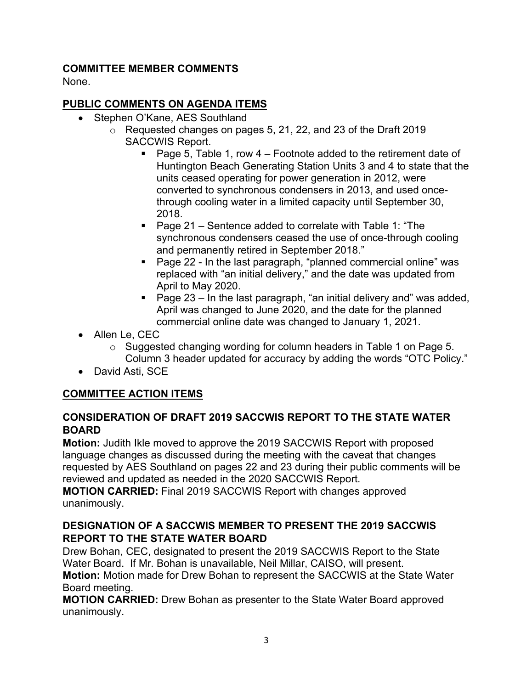#### **COMMITTEE MEMBER COMMENTS**

None.

### **PUBLIC COMMENTS ON AGENDA ITEMS**

- Stephen O'Kane, AES Southland
	- o Requested changes on pages 5, 21, 22, and 23 of the Draft 2019 SACCWIS Report.
		- Page 5, Table 1, row 4 Footnote added to the retirement date of Huntington Beach Generating Station Units 3 and 4 to state that the units ceased operating for power generation in 2012, were converted to synchronous condensers in 2013, and used oncethrough cooling water in a limited capacity until September 30, 2018.
		- Page 21 Sentence added to correlate with Table 1: "The synchronous condensers ceased the use of once-through cooling and permanently retired in September 2018."
		- Page 22 In the last paragraph, "planned commercial online" was replaced with "an initial delivery," and the date was updated from April to May 2020.
		- Page 23 In the last paragraph, "an initial delivery and" was added, April was changed to June 2020, and the date for the planned commercial online date was changed to January 1, 2021.
- · Allen Le, CEC
	- $\circ$  Suggested changing wording for column headers in Table 1 on Page 5. Column 3 header updated for accuracy by adding the words "OTC Policy."
- · David Asti, SCE

# **COMMITTEE ACTION ITEMS**

### **CONSIDERATION OF DRAFT 2019 SACCWIS REPORT TO THE STATE WATER BOARD**

**Motion:** Judith Ikle moved to approve the 2019 SACCWIS Report with proposed language changes as discussed during the meeting with the caveat that changes requested by AES Southland on pages 22 and 23 during their public comments will be reviewed and updated as needed in the 2020 SACCWIS Report.

**MOTION CARRIED:** Final 2019 SACCWIS Report with changes approved unanimously.

### **DESIGNATION OF A SACCWIS MEMBER TO PRESENT THE 2019 SACCWIS REPORT TO THE STATE WATER BOARD**

Drew Bohan, CEC, designated to present the 2019 SACCWIS Report to the State Water Board. If Mr. Bohan is unavailable, Neil Millar, CAISO, will present. **Motion:** Motion made for Drew Bohan to represent the SACCWIS at the State Water Board meeting.

**MOTION CARRIED:** Drew Bohan as presenter to the State Water Board approved unanimously.